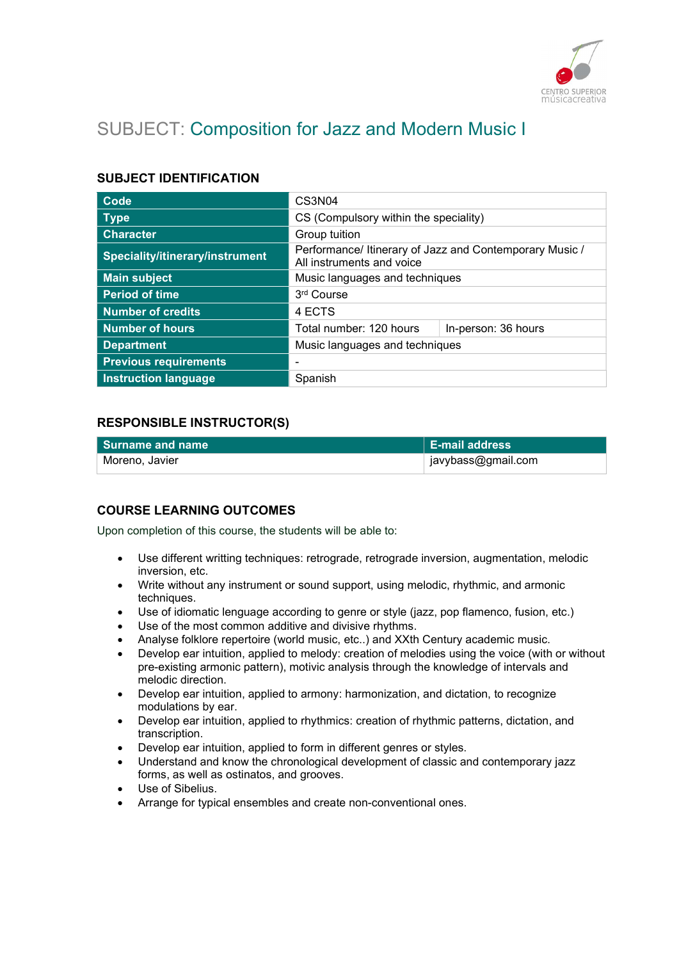

# SUBJECT: Composition for Jazz and Modern Music I

## SUBJECT IDENTIFICATION

| Code                            | CS3N04                                                                               |                     |
|---------------------------------|--------------------------------------------------------------------------------------|---------------------|
| <b>Type</b>                     | CS (Compulsory within the speciality)                                                |                     |
| <b>Character</b>                | Group tuition                                                                        |                     |
| Speciality/itinerary/instrument | Performance/ Itinerary of Jazz and Contemporary Music /<br>All instruments and voice |                     |
| <b>Main subject</b>             | Music languages and techniques                                                       |                     |
| <b>Period of time</b>           | 3rd Course                                                                           |                     |
| <b>Number of credits</b>        | 4 ECTS                                                                               |                     |
| <b>Number of hours</b>          | Total number: 120 hours                                                              | In-person: 36 hours |
| <b>Department</b>               | Music languages and techniques                                                       |                     |
| <b>Previous requirements</b>    |                                                                                      |                     |
| <b>Instruction language</b>     | Spanish                                                                              |                     |

# RESPONSIBLE INSTRUCTOR(S)

| l Surname and name | <b>E-mail address</b> |
|--------------------|-----------------------|
| Moreno, Javier     | ∣ javybass@gmail.com  |

### COURSE LEARNING OUTCOMES

Upon completion of this course, the students will be able to:

- Use different writting techniques: retrograde, retrograde inversion, augmentation, melodic inversion, etc.
- Write without any instrument or sound support, using melodic, rhythmic, and armonic techniques.
- Use of idiomatic lenguage according to genre or style (jazz, pop flamenco, fusion, etc.)
- Use of the most common additive and divisive rhythms.
- Analyse folklore repertoire (world music, etc..) and XXth Century academic music.
- Develop ear intuition, applied to melody: creation of melodies using the voice (with or without pre-existing armonic pattern), motivic analysis through the knowledge of intervals and melodic direction.
- Develop ear intuition, applied to armony: harmonization, and dictation, to recognize modulations by ear.
- Develop ear intuition, applied to rhythmics: creation of rhythmic patterns, dictation, and transcription.
- Develop ear intuition, applied to form in different genres or styles.
- Understand and know the chronological development of classic and contemporary jazz forms, as well as ostinatos, and grooves.
- Use of Sibelius.
- Arrange for typical ensembles and create non-conventional ones.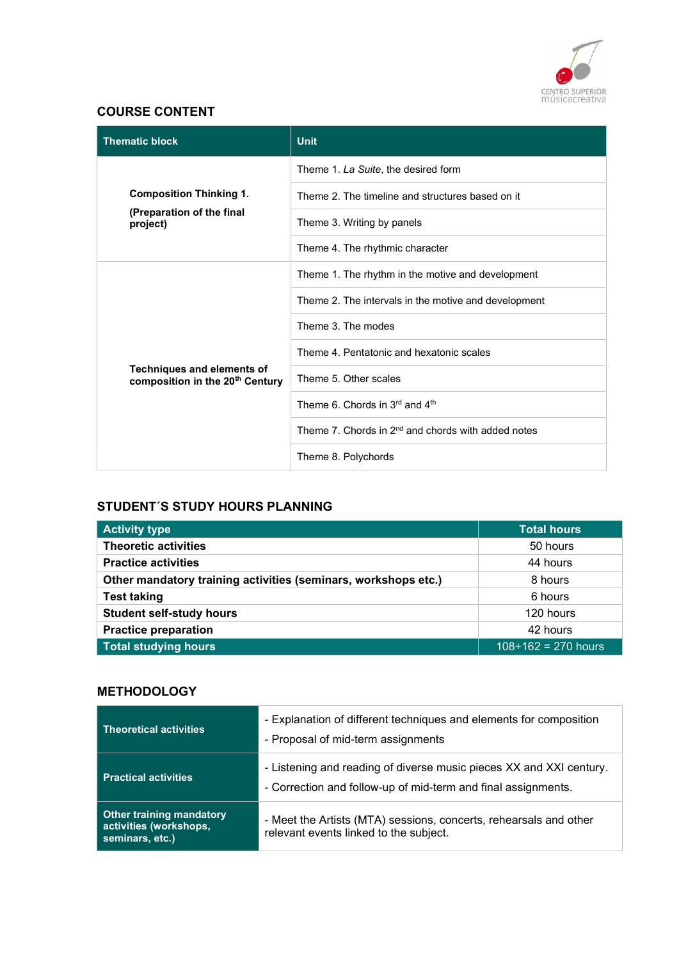

# COURSE CONTENT

| <b>Thematic block</b>                                                            | <b>Unit</b>                                                    |
|----------------------------------------------------------------------------------|----------------------------------------------------------------|
|                                                                                  | Theme 1. La Suite, the desired form                            |
| <b>Composition Thinking 1.</b>                                                   | Theme 2. The timeline and structures based on it               |
| (Preparation of the final<br>project)                                            | Theme 3. Writing by panels                                     |
|                                                                                  | Theme 4. The rhythmic character                                |
|                                                                                  | Theme 1. The rhythm in the motive and development              |
|                                                                                  | Theme 2. The intervals in the motive and development           |
|                                                                                  | Theme 3. The modes                                             |
|                                                                                  | Theme 4. Pentatonic and hexatonic scales                       |
| <b>Techniques and elements of</b><br>composition in the 20 <sup>th</sup> Century | Theme 5. Other scales                                          |
|                                                                                  | Theme 6. Chords in 3rd and 4th                                 |
|                                                                                  | Theme 7. Chords in 2 <sup>nd</sup> and chords with added notes |
|                                                                                  | Theme 8. Polychords                                            |

# STUDENT´S STUDY HOURS PLANNING

| <b>Activity type</b>                                           | <b>Total hours</b>    |
|----------------------------------------------------------------|-----------------------|
| <b>Theoretic activities</b>                                    | 50 hours              |
| <b>Practice activities</b>                                     | 44 hours              |
| Other mandatory training activities (seminars, workshops etc.) | 8 hours               |
| <b>Test taking</b>                                             | 6 hours               |
| <b>Student self-study hours</b>                                | 120 hours             |
| <b>Practice preparation</b>                                    | 42 hours              |
| <b>Total studying hours</b>                                    | $108+162 = 270$ hours |

# **METHODOLOGY**

| <b>Theoretical activities</b>                                                | - Explanation of different techniques and elements for composition<br>- Proposal of mid-term assignments                             |
|------------------------------------------------------------------------------|--------------------------------------------------------------------------------------------------------------------------------------|
| <b>Practical activities</b>                                                  | - Listening and reading of diverse music pieces XX and XXI century.<br>- Correction and follow-up of mid-term and final assignments. |
| <b>Other training mandatory</b><br>activities (workshops,<br>seminars, etc.) | - Meet the Artists (MTA) sessions, concerts, rehearsals and other<br>relevant events linked to the subject.                          |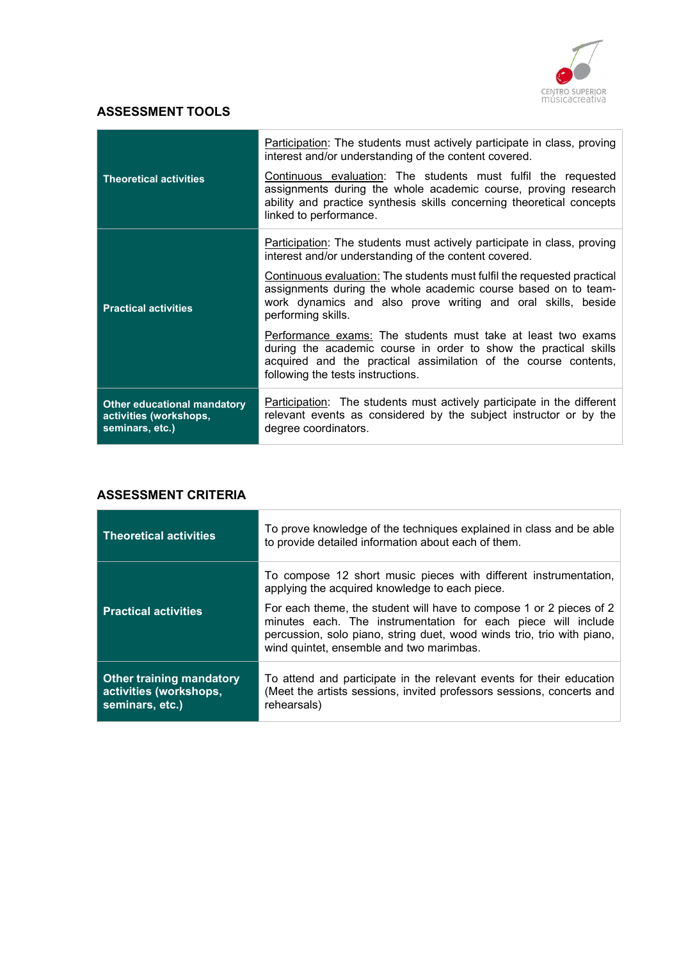

## ASSESSMENT TOOLS

|                                                                                 | Participation: The students must actively participate in class, proving<br>interest and/or understanding of the content covered.                                                                                                         |
|---------------------------------------------------------------------------------|------------------------------------------------------------------------------------------------------------------------------------------------------------------------------------------------------------------------------------------|
| <b>Theoretical activities</b>                                                   | Continuous evaluation: The students must fulfil the requested<br>assignments during the whole academic course, proving research<br>ability and practice synthesis skills concerning theoretical concepts<br>linked to performance.       |
|                                                                                 | <b>Participation:</b> The students must actively participate in class, proving<br>interest and/or understanding of the content covered.                                                                                                  |
| <b>Practical activities</b>                                                     | Continuous evaluation: The students must fulfil the requested practical<br>assignments during the whole academic course based on to team-<br>work dynamics and also prove writing and oral skills, beside<br>performing skills.          |
|                                                                                 | Performance exams: The students must take at least two exams<br>during the academic course in order to show the practical skills<br>acquired and the practical assimilation of the course contents,<br>following the tests instructions. |
| <b>Other educational mandatory</b><br>activities (workshops,<br>seminars, etc.) | Participation: The students must actively participate in the different<br>relevant events as considered by the subject instructor or by the<br>degree coordinators.                                                                      |

### ASSESSMENT CRITERIA

| <b>Theoretical activities</b>                                                | To prove knowledge of the techniques explained in class and be able<br>to provide detailed information about each of them.                                                                                                                                 |
|------------------------------------------------------------------------------|------------------------------------------------------------------------------------------------------------------------------------------------------------------------------------------------------------------------------------------------------------|
|                                                                              | To compose 12 short music pieces with different instrumentation,<br>applying the acquired knowledge to each piece.                                                                                                                                         |
| <b>Practical activities</b>                                                  | For each theme, the student will have to compose 1 or 2 pieces of 2<br>minutes each. The instrumentation for each piece will include<br>percussion, solo piano, string duet, wood winds trio, trio with piano,<br>wind quintet, ensemble and two marimbas. |
| <b>Other training mandatory</b><br>activities (workshops,<br>seminars, etc.) | To attend and participate in the relevant events for their education<br>(Meet the artists sessions, invited professors sessions, concerts and<br>rehearsals)                                                                                               |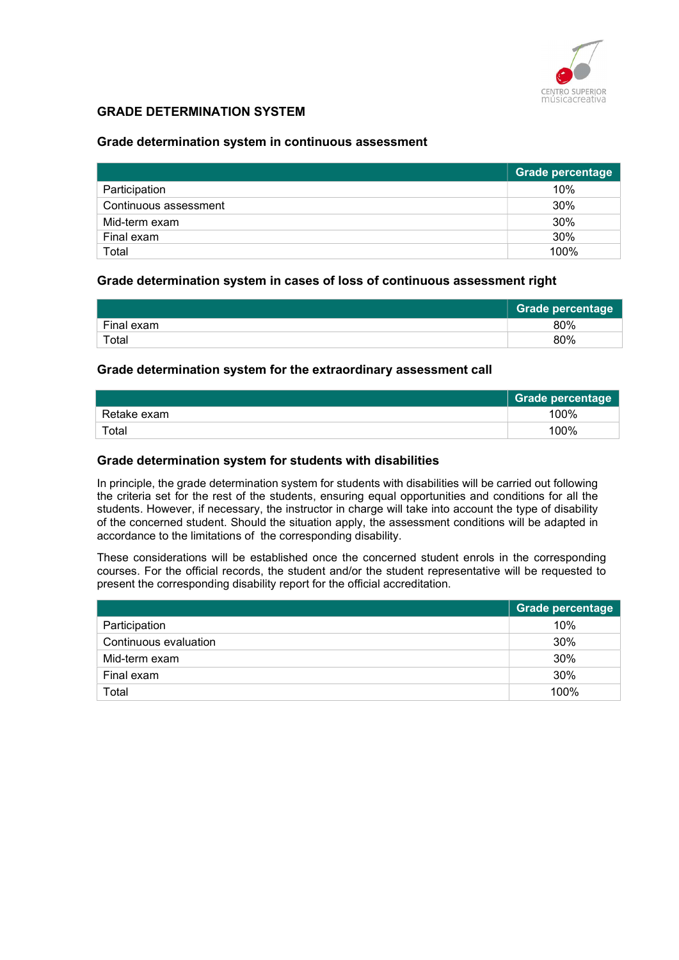

### GRADE DETERMINATION SYSTEM

#### Grade determination system in continuous assessment

|                       | Grade percentage |
|-----------------------|------------------|
| Participation         | 10%              |
| Continuous assessment | 30%              |
| Mid-term exam         | 30%              |
| Final exam            | 30%              |
| Total                 | 100%             |

#### Grade determination system in cases of loss of continuous assessment right

|                        | <b>Grade percentage</b> |
|------------------------|-------------------------|
| Final exam             | 80%                     |
| $\tau$ <sub>otal</sub> | 80%                     |

#### Grade determination system for the extraordinary assessment call

|             | Grade percentage |
|-------------|------------------|
| Retake exam | 100%             |
| Total       | 100%             |

#### Grade determination system for students with disabilities

In principle, the grade determination system for students with disabilities will be carried out following the criteria set for the rest of the students, ensuring equal opportunities and conditions for all the students. However, if necessary, the instructor in charge will take into account the type of disability of the concerned student. Should the situation apply, the assessment conditions will be adapted in accordance to the limitations of the corresponding disability.

These considerations will be established once the concerned student enrols in the corresponding courses. For the official records, the student and/or the student representative will be requested to present the corresponding disability report for the official accreditation.

|                       | <b>Grade percentage</b> |
|-----------------------|-------------------------|
| Participation         | 10%                     |
| Continuous evaluation | 30%                     |
| Mid-term exam         | 30%                     |
| Final exam            | 30%                     |
| Total                 | 100%                    |